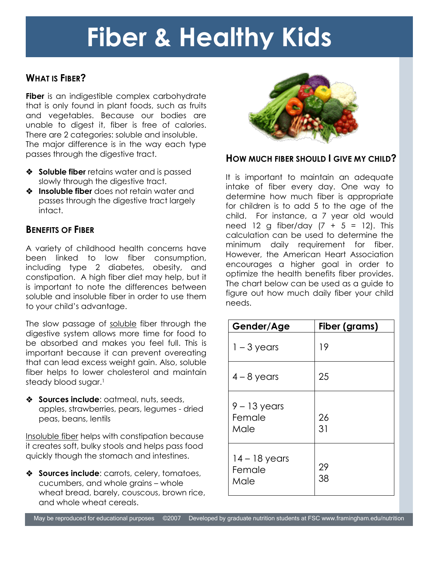# **Fiber & Healthy Kids**

# **WHAT IS FIBER?**

**Fiber** is an indigestible complex carbohydrate that is only found in plant foods, such as fruits and vegetables. Because our bodies are unable to digest it, fiber is free of calories. There are 2 categories: soluble and insoluble. The major difference is in the way each type passes through the digestive tract.

- **Soluble fiber** retains water and is passed slowly through the digestive tract.
- **Insoluble fiber** does not retain water and passes through the digestive tract largely intact.

## **BENEFITS OF FIBER**

i<br>I

A variety of childhood health concerns have been linked to low fiber consumption, including type 2 diabetes, obesity, and constipation. A high fiber diet may help, but it is important to note the differences between soluble and insoluble fiber in order to use them to your child's advantage.

The slow passage of soluble fiber through the digestive system allows more time for food to be absorbed and makes you feel full. This is important because it can prevent overeating that can lead excess weight gain. Also, soluble fiber helps to lower cholesterol and maintain steady blood sugar.<sup>1</sup>

**Sources include:** oatmeal, nuts, seeds, apples, strawberries, pears, legumes - dried peas, beans, lentils

Insoluble fiber helps with constipation because it creates soft, bulky stools and helps pass food quickly though the stomach and intestines.

 **Sources include**: carrots, celery, tomatoes, cucumbers, and whole grains – whole wheat bread, barely, couscous, brown rice, and whole wheat cereals.



### **HOW MUCH FIBER SHOULD I GIVE MY CHILD?**

It is important to maintain an adequate intake of fiber every day. One way to determine how much fiber is appropriate for children is to add 5 to the age of the child. For instance, a 7 year old would need 12 g fiber/day  $(7 + 5 = 12)$ . This calculation can be used to determine the minimum daily requirement for fiber. However, the American Heart Association encourages a higher goal in order to optimize the health benefits fiber provides. The chart below can be used as a guide to figure out how much daily fiber your child needs.

| Gender/Age                        | Fiber (grams) |
|-----------------------------------|---------------|
| $1 - 3$ years                     | 19            |
| $4 - 8$ years                     | 25            |
| $9 - 13$ years<br>Female<br>Male  | 26<br>31      |
| $14 - 18$ years<br>Female<br>Male | 29<br>38      |